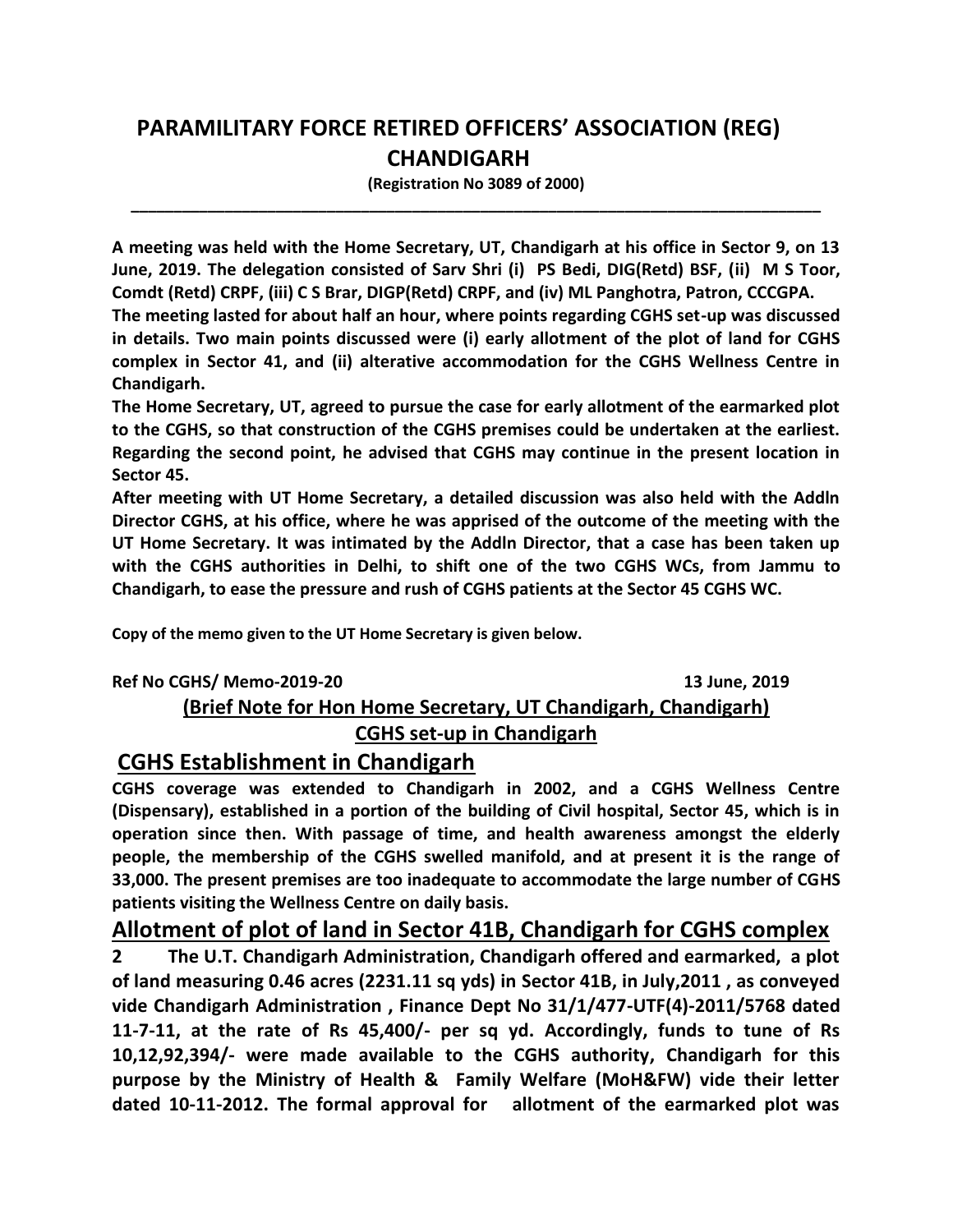# **PARAMILITARY FORCE RETIRED OFFICERS' ASSOCIATION (REG) CHANDIGARH**

**(Registration No 3089 of 2000) \_\_\_\_\_\_\_\_\_\_\_\_\_\_\_\_\_\_\_\_\_\_\_\_\_\_\_\_\_\_\_\_\_\_\_\_\_\_\_\_\_\_\_\_\_\_\_\_\_\_\_\_\_\_\_\_\_\_\_\_\_\_\_\_\_\_\_\_\_\_\_\_\_\_\_\_\_\_\_\_\_**

**A meeting was held with the Home Secretary, UT, Chandigarh at his office in Sector 9, on 13 June, 2019. The delegation consisted of Sarv Shri (i) PS Bedi, DIG(Retd) BSF, (ii) M S Toor, Comdt (Retd) CRPF, (iii) C S Brar, DIGP(Retd) CRPF, and (iv) ML Panghotra, Patron, CCCGPA.**

**The meeting lasted for about half an hour, where points regarding CGHS set-up was discussed in details. Two main points discussed were (i) early allotment of the plot of land for CGHS complex in Sector 41, and (ii) alterative accommodation for the CGHS Wellness Centre in Chandigarh.** 

**The Home Secretary, UT, agreed to pursue the case for early allotment of the earmarked plot to the CGHS, so that construction of the CGHS premises could be undertaken at the earliest. Regarding the second point, he advised that CGHS may continue in the present location in Sector 45.**

**After meeting with UT Home Secretary, a detailed discussion was also held with the Addln Director CGHS, at his office, where he was apprised of the outcome of the meeting with the UT Home Secretary. It was intimated by the Addln Director, that a case has been taken up with the CGHS authorities in Delhi, to shift one of the two CGHS WCs, from Jammu to Chandigarh, to ease the pressure and rush of CGHS patients at the Sector 45 CGHS WC.** 

**Copy of the memo given to the UT Home Secretary is given below.**

## **Ref No CGHS/ Memo-2019-20 13 June, 2019 (Brief Note for Hon Home Secretary, UT Chandigarh, Chandigarh) CGHS set-up in Chandigarh**

## **CGHS Establishment in Chandigarh**

**CGHS coverage was extended to Chandigarh in 2002, and a CGHS Wellness Centre (Dispensary), established in a portion of the building of Civil hospital, Sector 45, which is in operation since then. With passage of time, and health awareness amongst the elderly people, the membership of the CGHS swelled manifold, and at present it is the range of 33,000. The present premises are too inadequate to accommodate the large number of CGHS patients visiting the Wellness Centre on daily basis.** 

### **Allotment of plot of land in Sector 41B, Chandigarh for CGHS complex**

**2 The U.T. Chandigarh Administration, Chandigarh offered and earmarked, a plot of land measuring 0.46 acres (2231.11 sq yds) in Sector 41B, in July,2011 , as conveyed vide Chandigarh Administration , Finance Dept No 31/1/477-UTF(4)-2011/5768 dated 11-7-11, at the rate of Rs 45,400/- per sq yd. Accordingly, funds to tune of Rs 10,12,92,394/- were made available to the CGHS authority, Chandigarh for this purpose by the Ministry of Health & Family Welfare (MoH&FW) vide their letter dated 10-11-2012. The formal approval for allotment of the earmarked plot was**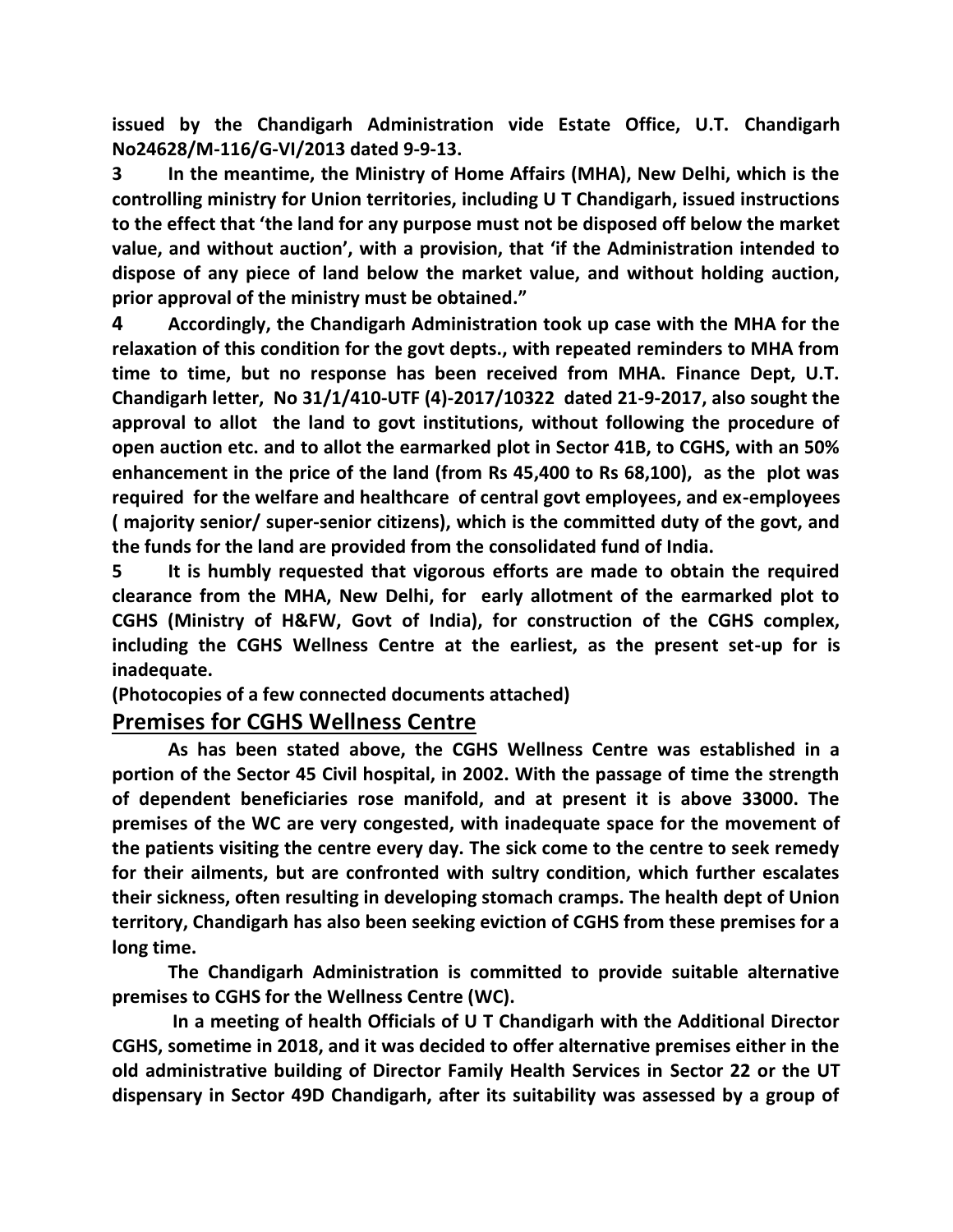**issued by the Chandigarh Administration vide Estate Office, U.T. Chandigarh No24628/M-116/G-VI/2013 dated 9-9-13.** 

**3 In the meantime, the Ministry of Home Affairs (MHA), New Delhi, which is the controlling ministry for Union territories, including U T Chandigarh, issued instructions to the effect that 'the land for any purpose must not be disposed off below the market value, and without auction', with a provision, that 'if the Administration intended to dispose of any piece of land below the market value, and without holding auction, prior approval of the ministry must be obtained."** 

**4 Accordingly, the Chandigarh Administration took up case with the MHA for the relaxation of this condition for the govt depts., with repeated reminders to MHA from time to time, but no response has been received from MHA. Finance Dept, U.T. Chandigarh letter, No 31/1/410-UTF (4)-2017/10322 dated 21-9-2017, also sought the approval to allot the land to govt institutions, without following the procedure of open auction etc. and to allot the earmarked plot in Sector 41B, to CGHS, with an 50% enhancement in the price of the land (from Rs 45,400 to Rs 68,100), as the plot was required for the welfare and healthcare of central govt employees, and ex-employees ( majority senior/ super-senior citizens), which is the committed duty of the govt, and the funds for the land are provided from the consolidated fund of India.**

**5 It is humbly requested that vigorous efforts are made to obtain the required clearance from the MHA, New Delhi, for early allotment of the earmarked plot to CGHS (Ministry of H&FW, Govt of India), for construction of the CGHS complex, including the CGHS Wellness Centre at the earliest, as the present set-up for is inadequate.**

**(Photocopies of a few connected documents attached)**

#### **Premises for CGHS Wellness Centre**

**As has been stated above, the CGHS Wellness Centre was established in a portion of the Sector 45 Civil hospital, in 2002. With the passage of time the strength of dependent beneficiaries rose manifold, and at present it is above 33000. The premises of the WC are very congested, with inadequate space for the movement of the patients visiting the centre every day. The sick come to the centre to seek remedy for their ailments, but are confronted with sultry condition, which further escalates their sickness, often resulting in developing stomach cramps. The health dept of Union territory, Chandigarh has also been seeking eviction of CGHS from these premises for a long time.**

**The Chandigarh Administration is committed to provide suitable alternative premises to CGHS for the Wellness Centre (WC).**

**In a meeting of health Officials of U T Chandigarh with the Additional Director CGHS, sometime in 2018, and it was decided to offer alternative premises either in the old administrative building of Director Family Health Services in Sector 22 or the UT dispensary in Sector 49D Chandigarh, after its suitability was assessed by a group of**